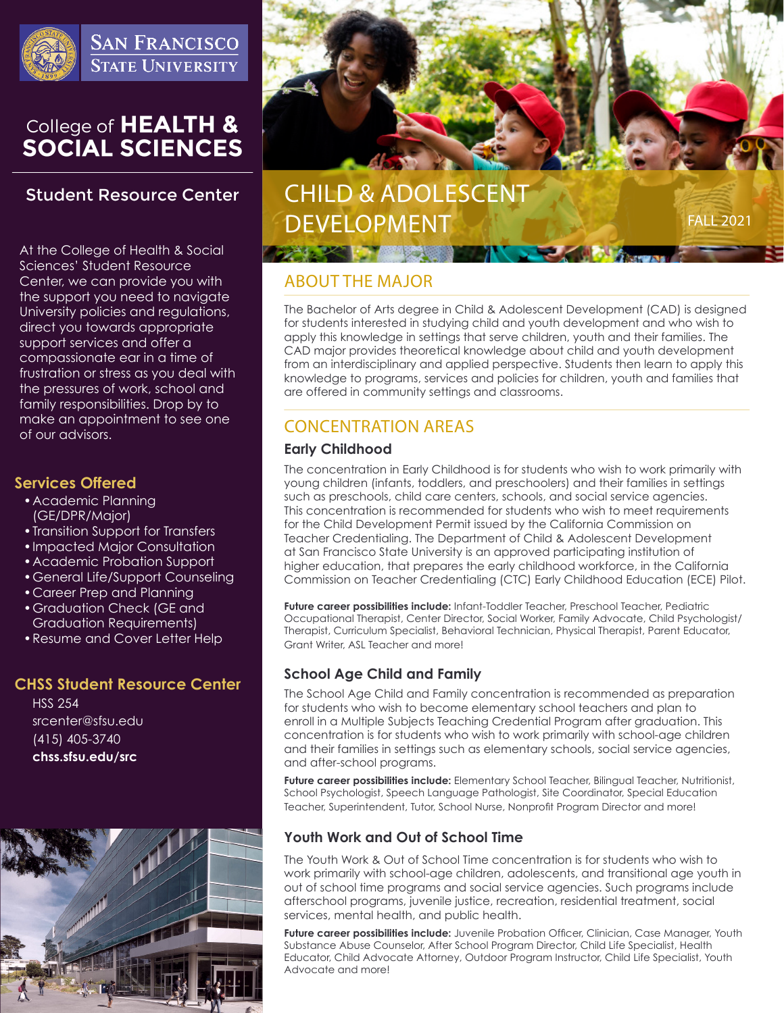

**SAN FRANCISCO STATE UNIVERSITY** 

# College of HEALTH &<br>SOCIAL SCIENCES

# **Student Resource Center**

At the College of Health & Social Sciences' Student Resource Center, we can provide you with the support you need to navigate University policies and regulations, direct you towards appropriate support services and offer a compassionate ear in a time of frustration or stress as you deal with the pressures of work, school and family responsibilities. Drop by to make an appointment to see one of our advisors.

### **Services Offered**

- •Academic Planning (GE/DPR/Major)
- •Transition Support for Transfers
- •Impacted Major Consultation
- •Academic Probation Support
- •General Life/Support Counseling
- •Career Prep and Planning
- •Graduation Check (GE and Graduation Requirements)
- •Resume and Cover Letter Help

## **CHSS Student Resource Center**

HSS 254 srcenter@sfsu.edu (415) 405-3740 **chss.sfsu.edu/src**





# ABOUT THE MAJOR

The Bachelor of Arts degree in Child & Adolescent Development (CAD) is designed for students interested in studying child and youth development and who wish to apply this knowledge in settings that serve children, youth and their families. The CAD major provides theoretical knowledge about child and youth development from an interdisciplinary and applied perspective. Students then learn to apply this knowledge to programs, services and policies for children, youth and families that are offered in community settings and classrooms.

# CONCENTRATION AREAS

#### **Early Childhood**

The concentration in Early Childhood is for students who wish to work primarily with young children (infants, toddlers, and preschoolers) and their families in settings such as preschools, child care centers, schools, and social service agencies. This concentration is recommended for students who wish to meet requirements for the Child Development Permit issued by the California Commission on Teacher Credentialing. The Department of Child & Adolescent Development at San Francisco State University is an approved participating institution of higher education, that prepares the early childhood workforce, in the California Commission on Teacher Credentialing (CTC) Early Childhood Education (ECE) Pilot.

**Future career possibilities include:** Infant-Toddler Teacher, Preschool Teacher, Pediatric Occupational Therapist, Center Director, Social Worker, Family Advocate, Child Psychologist/ Therapist, Curriculum Specialist, Behavioral Technician, Physical Therapist, Parent Educator, Grant Writer, ASL Teacher and more!

## **School Age Child and Family**

The School Age Child and Family concentration is recommended as preparation for students who wish to become elementary school teachers and plan to enroll in a Multiple Subjects Teaching Credential Program after graduation. This concentration is for students who wish to work primarily with school-age children and their families in settings such as elementary schools, social service agencies, and after-school programs.

**Future career possibilities include:** Elementary School Teacher, Bilingual Teacher, Nutritionist, School Psychologist, Speech Language Pathologist, Site Coordinator, Special Education Teacher, Superintendent, Tutor, School Nurse, Nonprofit Program Director and more!

## **Youth Work and Out of School Time**

The Youth Work & Out of School Time concentration is for students who wish to work primarily with school-age children, adolescents, and transitional age youth in out of school time programs and social service agencies. Such programs include afterschool programs, juvenile justice, recreation, residential treatment, social services, mental health, and public health.

**Future career possibilities include:** Juvenile Probation Officer, Clinician, Case Manager, Youth Substance Abuse Counselor, After School Program Director, Child Life Specialist, Health Educator, Child Advocate Attorney, Outdoor Program Instructor, Child Life Specialist, Youth Advocate and more!